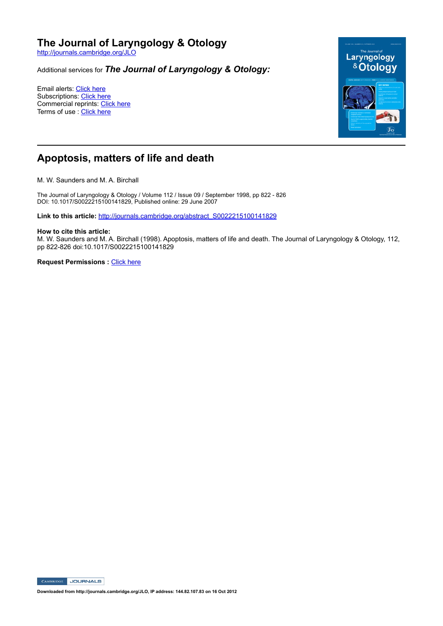**The Journal of Laryngology & Otology**

http://journals.cambridge.org/JLO

Additional services for *The Journal of Laryngology & Otology:*

Email alerts: Click here Subscriptions: Click here Commercial reprints: Click here Terms of use : Click here



# **Apoptosis, matters of life and death**

M. W. Saunders and M. A. Birchall

The Journal of Laryngology & Otology / Volume 112 / Issue 09 / September 1998, pp 822 - 826 DOI: 10.1017/S0022215100141829, Published online: 29 June 2007

Link to this article: http://journals.cambridge.org/abstract\_S0022215100141829

#### **How to cite this article:**

M. W. Saunders and M. A. Birchall (1998). Apoptosis, matters of life and death. The Journal of Laryngology & Otology, 112, pp 822-826 doi:10.1017/S0022215100141829

**Request Permissions : Click here** 

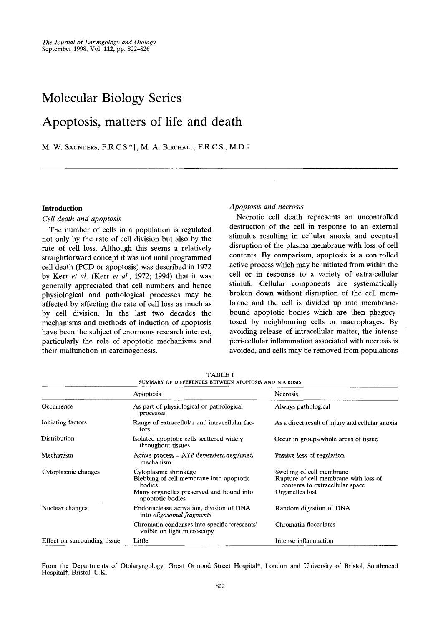# Molecular Biology Series Apoptosis, matters of life and death

M. W. SAUNDERS, F.R.C.S.\*t, M. A. BIRCHALL, F.R.C.S., M.D.f

### Introduction

#### *Cell death and apoptosis*

The number of cells in a population is regulated not only by the rate of cell division but also by the rate of cell loss. Although this seems a relatively straightforward concept it was not until programmed cell death (PCD or apoptosis) was described in 1972 by Kerr *et al.* (Kerr *et al.,* 1972; 1994) that it was generally appreciated that cell numbers and hence physiological and pathological processes may be affected by affecting the rate of cell loss as much as by cell division. In the last two decades the mechanisms and methods of induction of apoptosis have been the subject of enormous research interest, particularly the role of apoptotic mechanisms and their malfunction in carcinogenesis.

#### *Apoptosis and necrosis*

Necrotic cell death represents an uncontrolled destruction of the cell in response to an external stimulus resulting in cellular anoxia and eventual disruption of the plasma membrane with loss of cell contents. By comparison, apoptosis is a controlled active process which may be initiated from within the cell or in response to a variety of extra-cellular stimuli. Cellular components are systematically broken down without disruption of the cell membrane and the cell is divided up into membranebound apoptotic bodies which are then phagocytosed by neighbouring cells or macrophages. By avoiding release of intracellular matter, the intense peri-cellular inflammation associated with necrosis is avoided, and cells may be removed from populations

|                              | Apoptosis                                                                                                                                          | <b>Necrosis</b>                                                                                                          |  |
|------------------------------|----------------------------------------------------------------------------------------------------------------------------------------------------|--------------------------------------------------------------------------------------------------------------------------|--|
| Occurrence                   | As part of physiological or pathological<br>processes                                                                                              | Always pathological                                                                                                      |  |
| Initiating factors           | Range of extracellular and intracellular fac-<br>tors                                                                                              | As a direct result of injury and cellular anoxia                                                                         |  |
| Distribution                 | Isolated apoptotic cells scattered widely<br>throughout tissues                                                                                    | Occur in groups/whole areas of tissue                                                                                    |  |
| Mechanism                    | Active process – ATP dependent-regulated<br>mechanism                                                                                              | Passive loss of regulation                                                                                               |  |
| Cytoplasmic changes          | Cytoplasmic shrinkage<br>Blebbing of cell membrane into apoptotic<br><b>bodies</b><br>Many organelles preserved and bound into<br>apoptotic bodies | Swelling of cell membrane<br>Rupture of cell membrane with loss of<br>contents to extracellular space<br>Organelles lost |  |
| Nuclear changes              | Endonuclease activation, division of DNA<br>into <i>oligosomal</i> fragments                                                                       | Random digestion of DNA                                                                                                  |  |
|                              | Chromatin condenses into specific 'crescents'<br>visible on light microscopy                                                                       | Chromatin flocculates                                                                                                    |  |
| Effect on surrounding tissue | Little                                                                                                                                             | Intense inflammation                                                                                                     |  |

TABLE I SUMMARY OF DIFFERENCES BETWEEN APOPTOSIS AND NECROSIS

From the Departments of Otolaryngology, Great Ormond Street Hospital\*, London and University of Bristol, Southmead Hospital†, Bristol, U.K.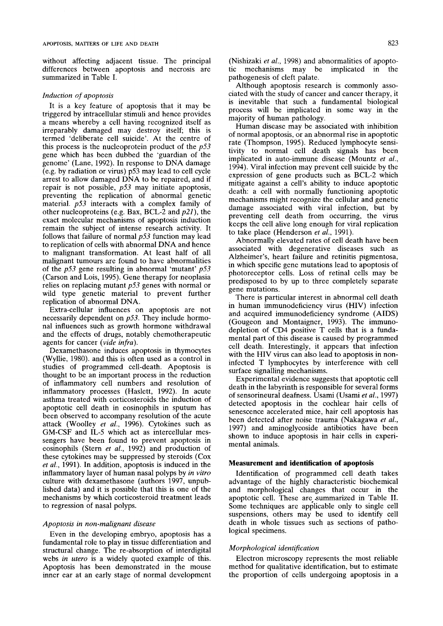without affecting adjacent tissue. The principal differences between apoptosis and necrosis are summarized in Table I.

#### *Induction of apoptosis*

It is a key feature of apoptosis that it may be triggered by intracellular stimuli and hence provides a means whereby a cell having recognized itself as irreparably damaged may destroy itself; this is termed 'deliberate cell suicide'. At the centre of this process is the nucleoprotein product of the *p53* gene which has been dubbed the 'guardian of the genome' (Lane, 1992). In response to DNA damage (e.g. by radiation or virus) p53 may lead to cell cycle arrest to allow damaged DNA to be repaired, and if repair is not possible, *p53* may initiate apoptosis, preventing the replication of abnormal genetic material. *p53* interacts with a complex family of other nucleoproteins (e.g. Bax, BCL-2 and  $p21$ ), the exact molecular mechanisms of apoptosis induction remain the subject of intense research activity. It follows that failure of normal *p53* function may lead to replication of cells with abnormal DNA and hence to malignant transformation. At least half of all malignant tumours are found to have abnormalities of the *p53* gene resulting in abnormal 'mutant' *p53* (Carson and Lois, 1995). Gene therapy for neoplasia relies on replacing mutant *p53* genes with normal or wild type genetic material to prevent further replication of abnormal DNA.

Extra-cellular influences on apoptosis are not necessarily dependent on  $p53$ . They include hormonal influences such as growth hormone withdrawal and the effects of drugs, notably chemotherapeutic agents for cancer *(vide infra).*

Dexamethasone induces apoptosis in thymocytes (Wyllie, 1980). and this is often used as a control in studies of programmed cell-death. Apoptosis is thought to be an important process in the reduction of inflammatory cell numbers and resolution of inflammatory processes (Haslett, 1992). In acute asthma treated with corticosteroids the induction of apoptotic cell death in eosinophils in sputum has been observed to accompany resolution of the acute attack (Woolley *et al.,* 1996). Cytokines such as GM-CSF and IL-5 which act as intercellular mes- sengers have been found to prevent apoptosis in eosinophils (Stern *et al.,* 1992) and production of these cytokines may be suppressed by steroids (Cox *et al.,* 1991). In addition, apoptosis is induced in the inflammatory layer of human nasal polyps by *in vitro* culture with dexamethasone (authors 1997, unpub-<br>lished data) and it is possible that this is one of the mechanisms by which corticosteroid treatment leads to regression of nasal polyps.

#### *Apoptosis in non-malignant disease*

Even in the developing embryo, apoptosis has a fundamental role to play in tissue differentiation and structural change. The re-absorption of interdigital webs *in utero* is a widely quoted example of this. Apoptosis has been demonstrated in the mouse inner ear at an early stage of normal development (Nishizaki *et al.,* 1998) and abnormalities of apopto- tic mechanisms may be implicated in the pathogenesis of cleft palate.<br>Although apoptosis research is commonly asso-

ciated with the study of cancer and cancer therapy, it is inevitable that such a fundamental biological process will be implicated in some way in the majority of human pathology.

Human disease may be associated with inhibition of normal apoptosis, or an abnormal rise in apoptotic tivity to normal cell death signals has been implicated in auto-immune disease (Mountz *et al.,* 1994). Viral infection may prevent cell suicide by the expression of gene products such as BCL-2 which mitigate against a cell's ability to induce apoptotic death: a cell with normally functioning apoptotic mechanisms might recognize the cellular and genetic damage associated with viral infection, but by preventing cell death from occurring, the virus keeps the cell alive long enough for viral replication to take place (Henderson *et al.,* 1991).

Abnormally elevated rates of cell death have been associated with degenerative diseases such as<br>Alzheimer's, heart failure and retinitis pigmentosa, in which specific gene mutations lead to apoptosis of photoreceptor cells. Loss of retinal cells may be predisposed to by up to three completely separate gene mutations.

There is particular interest in abnormal cell death in human immunodeficiency virus (HIV) infection and acquired immunodeficiency syndrome (AIDS) depletion of CD4 positive  $T$  cells that is a funda- mental part of this disease is caused by programmed cell death. Interestingly, it appears that infection with the HIV virus can also lead to apoptosis in non-<br>infected T lymphocytes by interference with cell surface signalling mechanisms.

Experimental evidence suggests that apoptotic cell death in the labyrinth is responsible for several forms of sensorineural deafness. Usami (Usami *et al.,* 1997) detected apoptosis in the cochlear hair cells of senescence accelerated mice, hair cell apoptosis has been detected after noise trauma (Nakagawa *et al.,* 1997) and aminoglycoside antibiotics have been shown to induce apoptosis in hair cells in experi- mental animals.

#### **Measurement and identification of apoptosis**

Identification of programmed cell death takes advantage of the highly characteristic biochemical and morphological changes that occur in the apoptotic cell. These are summarized in Table II. Some techniques are applicable only to single cell suspensions, others may be used to identify cell death in whole tissues such as sections of patho- logical specimens.

#### *Morphological identification*

Electron microscopy represents the most reliable method for qualitative identification, but to estimate the proportion of cells undergoing apoptosis in a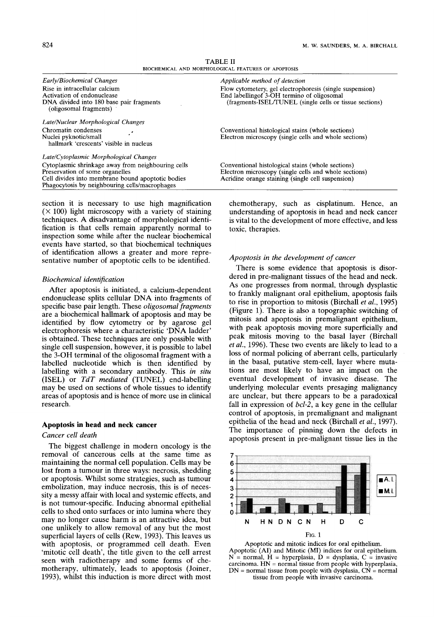|  | <b>TABLE II</b>                                     |  |  |
|--|-----------------------------------------------------|--|--|
|  | BIOCHEMICAL AND MORPHOLOGICAL FEATURES OF APOPTOSIS |  |  |

| Early/Biochemical Changes                                                                                                         | Applicable method of detection                                                                                                                                     |
|-----------------------------------------------------------------------------------------------------------------------------------|--------------------------------------------------------------------------------------------------------------------------------------------------------------------|
| Rise in intracellular calcium<br>Activation of endonuclease<br>DNA divided into 180 base pair fragments<br>(oligosomal fragments) | Flow cytometery, gel electrophoresis (single suspension)<br>End labelling of 3-OH termino of oligosomal<br>(fragments-ISEL/TUNEL (single cells or tissue sections) |
| Late/Nuclear Morphological Changes                                                                                                |                                                                                                                                                                    |
| Chromatin condenses                                                                                                               | Conventional histological stains (whole sections)                                                                                                                  |
| Nuclei pyknotic/small<br>hallmark 'crescents' visible in nucleus                                                                  | Electron microscopy (single cells and whole sections)                                                                                                              |
| Late/Cytoplasmic Morphological Changes                                                                                            |                                                                                                                                                                    |
| Cytoplasmic shrinkage away from neighbouring cells                                                                                | Conventional histological stains (whole sections)                                                                                                                  |
| Preservation of some organelles                                                                                                   | Electron microscopy (single cells and whole sections)                                                                                                              |
| Cell divides into membrane bound apoptotic bodies                                                                                 | Acridine orange staining (single cell suspension)                                                                                                                  |
| Phagocytosis by neighbouring cells/macrophages                                                                                    |                                                                                                                                                                    |

section it is necessary to use high magnification  $(\times 100)$  light microscopy with a variety of staining techniques. A disadvantage of morphological identification is that cells remain apparently normal to inspection some while after the nuclear biochemical events have started, so that biochemical techniques of identification allows a greater and more repre- sentative number of apoptotic cells to be identified.

#### *Biochemical identification*

After apoptosis is initiated, a calcium-dependent endonuclease splits cellular DNA into fragments of specific base pair length. These *oligosomal fragments* are a biochemical hallmark of apoptosis and may be identified by flow cytometry or by agarose gel electrophoresis where a characteristic 'DNA ladder' is obtained. These techniques are only possible with single cell suspension, however, it is possible to label the 3-OH terminal of the oligosomal fragment with a labelled nucleotide which is then identified by labelling with a secondary antibody. This *in situ* (ISEL) or *TdT mediated* (TUNEL) end-labelling may be used on sections of whole tissues to identify areas of apoptosis and is hence of more use in clinical research.

#### **Apoptosis in head and neck cancer**

# *Cancer cell death*

The biggest challenge in modern oncology is the removal of cancerous cells at the same time as maintaining the normal cell population. Cells may be lost from a tumour in three ways: necrosis, shedding or apoptosis. Whilst some strategies, such as tumour embolization, may induce necrosis, this is of neces-<br>sity a messy affair with local and systemic effects, and is not tumour-specific. Inducing abnormal epithelial cells to shed onto surfaces or into lumina where they may no longer cause harm is an attractive idea, but one unlikely to allow removal of any but the most superficial layers of cells (Rew, 1993). This leaves us with apoptosis, or programmed cell death. Even 'mitotic cell death', the title given to the cell arrest seen with radiotherapy and some forms of che- motherapy, ultimately, leads to apoptosis (Joiner, 1993), whilst this induction is more direct with most chemotherapy, such as cisplatinum. Hence, an understanding of apoptosis in head and neck cancer is vital to the development of more effective, and less toxic, therapies.

#### *Apoptosis in the development of cancer*

There is some evidence that apoptosis is disordered in pre-malignant tissues of the head and neck. As one progresses from normal, through dysplastic to frankly malignant oral epithelium, apoptosis fails to rise in proportion to mitosis (Birchall *et al.,* 1995) (Figure 1). There is also a topographic switching of mitosis and apoptosis in premalignant epithelium, with peak apoptosis moving more superficially and peak mitosis moving to the basal layer (Birchall *et al.,* 1996). These two events are likely to lead to a loss of normal policing of aberrant cells, particularly in the basal, putative stem-cell, layer where mutations are most likely to have an impact on the eventual development of invasive disease. The underlying molecular events presaging malignancy are unclear, but there appears to be a paradoxical fall in expression of *bcl-2,* a key gene in the cellular control of apoptosis, in premalignant and malignant epithelia of the head and neck (Birchall *et al,* 1997). The importance of pinning down the defects in apoptosis present in pre-malignant tissue lies in the



Apoptotic and mitotic indices for oral epithelium.<br>Apoptotic (AI) and Mitotic (MI) indices for oral epithelium.<br> $N = normal$ ,  $H = hyperplasia$ ,  $D = dysplasia$ ,  $C = invasive$  carcinoma.  $HN = normal$  tissue from people with hyperplasia,  $DN = normal$  tissue from people tissue from people with invasive carcinoma.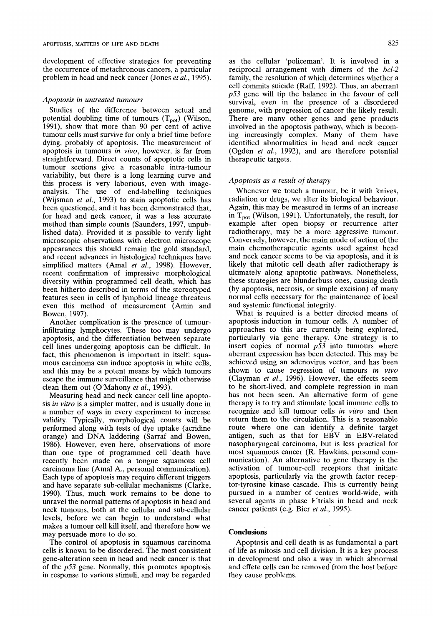development of effective strategies for preventing the occurrence of metachronous cancers, a particular problem in head and neck cancer (Jones *et al.,* 1995).

#### *Apoptosis in untreated tumours*

Studies of the difference between actual and potential doubling time of tumours  $(T_{pot})$  (Wilson, 1991), show that more than 90 per cent of active tumour cells must survive for only a brief time before dying, probably of apoptosis. The measurement of apoptosis in tumours *in vivo,* however, is far from straightforward. Direct counts of apoptotic cells in tumour sections give a reasonable intra-tumour variability, but there is a long learning curve and this process is very laborious, even with image- analysis. The use of end-labelling techniques (Wijsman *et al.,* 1993) to stain apoptotic cells has been questioned, and it has been demonstrated that, for head and neck cancer, it was a less accurate method than simple counts (Saunders, 1997, unpub-<br>lished data). Provided it is possible to verify light microscopic observations with electron microscope appearances this should remain the gold standard, and recent advances in histological techniques have simplified matters (Amal *et al.,* 1998). However, recent confirmation of impressive morphological diversity within programmed cell death, which has been hitherto described in terms of the stereotyped features seen in cells of lymphoid lineage threatens even this method of measurement (Amin and Bowen, 1997).

Another complication is the presence of tumour- infiltrating lymphocytes. These too may undergo apoptosis, and the differentiation between separate cell lines undergoing apoptosis can be difficult. In fact, this phenomenon is important in itself: squa- mous carcinoma can induce apoptosis in white cells, and this may be a potent means by which tumours escape the immune surveillance that might otherwise clean them out (O'Mahony *et al.,* 1993).

Measuring head and neck cancer cell line apopto- sis *in vitro* is a simpler matter, and is usually done in a number of ways in every experiment to increase validity. Typically, morphological counts will be performed along with tests of dye uptake (acridine orange) and DNA laddering (Sarraf and Bowen, 1986). However, even here, observations of more than one type of programmed cell death have recently been made on a tongue squamous cell carcinoma line (Amal A., personal communication). Each type of apoptosis may require different triggers and have separate sub-cellular mechanisms (Clarke, 1990). Thus, much work remains to be done to unravel the normal patterns of apoptosis in head and neck tumours, both at the cellular and sub-cellular levels, before we can begin to understand what makes a tumour cell kill itself, and therefore how we may persuade more to do so.

The control of apoptosis in squamous carcinoma cells is known to be disordered. The most consistent gene-alteration seen in head and neck cancer is that of the *p53* gene. Normally, this promotes apoptosis in response to various stimuli, and may be regarded

as the cellular 'policeman'. It is involved in a reciprocal arrangement with dimers of the *bcl-2* family, the resolution of which determines whether a cell commits suicide (Raff, 1992). Thus, an aberrant *p53* gene will tip the balance in the favour of cell survival, even in the presence of a disordered genome, with progression of cancer the likely result. There are many other genes and gene products involved in the apoptosis pathway, which is becom- ing increasingly complex. Many of them have identified abnormalities in head and neck cancer (Ogden *et al.,* 1992), and are therefore potential therapeutic targets.

#### *Apoptosis as a result of therapy*

Whenever we touch a tumour, be it with knives, radiation or drugs, we alter its biological behaviour.<br>Again, this may be measured in terms of an increase in  $T_{pot}$  (Wilson, 1991). Unfortunately, the result, for example after open biopsy or recurrence after radiotherapy, may be a more aggressive tumour. Conversely, however, the main mode of action of the main chemotherapeutic agents used against head and neck cancer seems to be via apoptosis, and it is likely that mitotic cell death after radiotherapy is ultimately along apoptotic pathways. Nonetheless, these strategies are blunderbuss ones, causing death (by apoptosis, necrosis, or simple excision) of many normal cells necessary for the maintenance of local and systemic functional integrity.

What is required is a better directed means of apoptosis-induction in tumour cells. A number of approaches to this are currently being explored, particularly via gene therapy. One strategy is to insert copies of normal *p53* into tumours where aberrant expression has been detected. This may be achieved using an adenovirus vector, and has been shown to cause regression of tumours *in vivo* (Clayman et al., 1996). However, the effects seem to be short-lived, and complete regression in man has not been seen. An alternative form of gene therapy is to try and stimulate local immune cells to recognize and kill tumour cells *in vitro* and then return them to the circulation. This is a reasonable route where one can identify a definite target antigen, such as that for EBV in EBV-related nasopharyngeal carcinoma, but is less practical for most squamous cancer (R. Hawkins, personal com-<br>munication). An alternative to gene therapy is the activation of tumour-cell receptors that initiate apoptosis, particularly via the growth factor recep-<br>tor-tyrosine kinase cascade. This is currently being pursued in a number of centres world-wide, with several agents in phase *I* 'trials in head and neck cancer patients (e.g. Bier *et al.,* 1995).

# **Conclusions**

Apoptosis and cell death is as fundamental a part of life as mitosis and cell division. It is a key process in development and also a way in which abnormal and effete cells can be removed from the host before they cause problems.